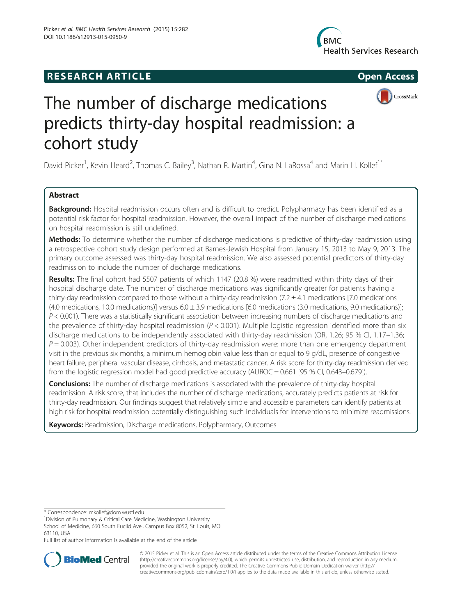







# The number of discharge medications predicts thirty-day hospital readmission: a cohort study

David Picker<sup>1</sup>, Kevin Heard<sup>2</sup>, Thomas C. Bailey<sup>3</sup>, Nathan R. Martin<sup>4</sup>, Gina N. LaRossa<sup>4</sup> and Marin H. Kollef<sup>1\*</sup>

## Abstract

Background: Hospital readmission occurs often and is difficult to predict. Polypharmacy has been identified as a potential risk factor for hospital readmission. However, the overall impact of the number of discharge medications on hospital readmission is still undefined.

Methods: To determine whether the number of discharge medications is predictive of thirty-day readmission using a retrospective cohort study design performed at Barnes-Jewish Hospital from January 15, 2013 to May 9, 2013. The primary outcome assessed was thirty-day hospital readmission. We also assessed potential predictors of thirty-day readmission to include the number of discharge medications.

Results: The final cohort had 5507 patients of which 1147 (20.8 %) were readmitted within thirty days of their hospital discharge date. The number of discharge medications was significantly greater for patients having a thirty-day readmission compared to those without a thirty-day readmission  $(7.2 \pm 4.1$  medications [7.0 medications (4.0 medications, 10.0 medications)] versus  $6.0 \pm 3.9$  medications [6.0 medications (3.0 medications, 9.0 medications)];  $P < 0.001$ ). There was a statistically significant association between increasing numbers of discharge medications and the prevalence of thirty-day hospital readmission ( $P < 0.001$ ). Multiple logistic regression identified more than six discharge medications to be independently associated with thirty-day readmission (OR, 1.26; 95 % CI, 1.17–1.36;  $P = 0.003$ ). Other independent predictors of thirty-day readmission were: more than one emergency department visit in the previous six months, a minimum hemoglobin value less than or equal to 9 g/dL, presence of congestive heart failure, peripheral vascular disease, cirrhosis, and metastatic cancer. A risk score for thirty-day readmission derived from the logistic regression model had good predictive accuracy (AUROC = 0.661 [95 % CI, 0.643–0.679]).

**Conclusions:** The number of discharge medications is associated with the prevalence of thirty-day hospital readmission. A risk score, that includes the number of discharge medications, accurately predicts patients at risk for thirty-day readmission. Our findings suggest that relatively simple and accessible parameters can identify patients at high risk for hospital readmission potentially distinguishing such individuals for interventions to minimize readmissions.

Keywords: Readmission, Discharge medications, Polypharmacy, Outcomes

\* Correspondence: [mkollef@dom.wustl.edu](mailto:mkollef@dom.wustl.edu) <sup>1</sup>

Division of Pulmonary & Critical Care Medicine, Washington University School of Medicine, 660 South Euclid Ave., Campus Box 8052, St. Louis, MO 63110, USA

Full list of author information is available at the end of the article



© 2015 Picker et al. This is an Open Access article distributed under the terms of the Creative Commons Attribution License [\(http://creativecommons.org/licenses/by/4.0\)](http://creativecommons.org/licenses/by/4.0), which permits unrestricted use, distribution, and reproduction in any medium, provided the original work is properly credited. The Creative Commons Public Domain Dedication waiver [\(http://](http://creativecommons.org/publicdomain/zero/1.0/) [creativecommons.org/publicdomain/zero/1.0/\)](http://creativecommons.org/publicdomain/zero/1.0/) applies to the data made available in this article, unless otherwise stated.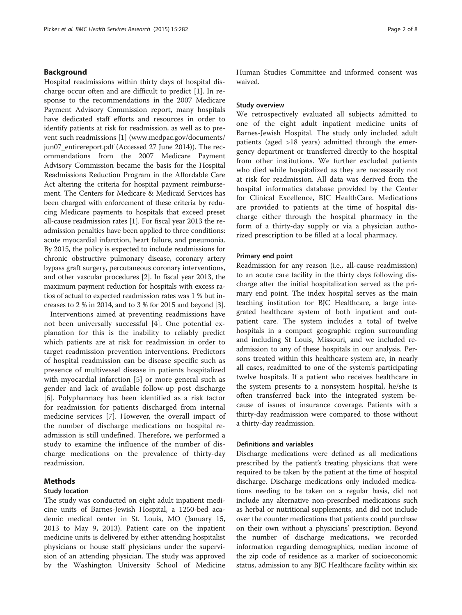## Background

Hospital readmissions within thirty days of hospital discharge occur often and are difficult to predict [\[1](#page-6-0)]. In response to the recommendations in the 2007 Medicare Payment Advisory Commission report, many hospitals have dedicated staff efforts and resources in order to identify patients at risk for readmission, as well as to prevent such readmissions [[1](#page-6-0)] [\(www.medpac.gov/documents/](http://www.medpac.gov/documents/jun07_entirereport.pdf) [jun07\\_entirereport.pdf](http://www.medpac.gov/documents/jun07_entirereport.pdf) (Accessed 27 June 2014)). The recommendations from the 2007 Medicare Payment Advisory Commission became the basis for the Hospital Readmissions Reduction Program in the Affordable Care Act altering the criteria for hospital payment reimbursement. The Centers for Medicare & Medicaid Services has been charged with enforcement of these criteria by reducing Medicare payments to hospitals that exceed preset all-cause readmission rates [\[1\]](#page-6-0). For fiscal year 2013 the readmission penalties have been applied to three conditions: acute myocardial infarction, heart failure, and pneumonia. By 2015, the policy is expected to include readmissions for chronic obstructive pulmonary disease, coronary artery bypass graft surgery, percutaneous coronary interventions, and other vascular procedures [[2](#page-6-0)]. In fiscal year 2013, the maximum payment reduction for hospitals with excess ratios of actual to expected readmission rates was 1 % but increases to 2 % in 2014, and to 3 % for 2015 and beyond [\[3](#page-6-0)].

Interventions aimed at preventing readmissions have not been universally successful [\[4](#page-6-0)]. One potential explanation for this is the inability to reliably predict which patients are at risk for readmission in order to target readmission prevention interventions. Predictors of hospital readmission can be disease specific such as presence of multivessel disease in patients hospitalized with myocardial infarction [\[5\]](#page-6-0) or more general such as gender and lack of available follow-up post discharge [[6\]](#page-6-0). Polypharmacy has been identified as a risk factor for readmission for patients discharged from internal medicine services [[7\]](#page-6-0). However, the overall impact of the number of discharge medications on hospital readmission is still undefined. Therefore, we performed a study to examine the influence of the number of discharge medications on the prevalence of thirty-day readmission.

## Methods

#### Study location

The study was conducted on eight adult inpatient medicine units of Barnes-Jewish Hospital, a 1250-bed academic medical center in St. Louis, MO (January 15, 2013 to May 9, 2013). Patient care on the inpatient medicine units is delivered by either attending hospitalist physicians or house staff physicians under the supervision of an attending physician. The study was approved by the Washington University School of Medicine Human Studies Committee and informed consent was waived.

## Study overview

We retrospectively evaluated all subjects admitted to one of the eight adult inpatient medicine units of Barnes-Jewish Hospital. The study only included adult patients (aged >18 years) admitted through the emergency department or transferred directly to the hospital from other institutions. We further excluded patients who died while hospitalized as they are necessarily not at risk for readmission. All data was derived from the hospital informatics database provided by the Center for Clinical Excellence, BJC HealthCare. Medications are provided to patients at the time of hospital discharge either through the hospital pharmacy in the form of a thirty-day supply or via a physician authorized prescription to be filled at a local pharmacy.

#### Primary end point

Readmission for any reason (i.e., all-cause readmission) to an acute care facility in the thirty days following discharge after the initial hospitalization served as the primary end point. The index hospital serves as the main teaching institution for BJC Healthcare, a large integrated healthcare system of both inpatient and outpatient care. The system includes a total of twelve hospitals in a compact geographic region surrounding and including St Louis, Missouri, and we included readmission to any of these hospitals in our analysis. Persons treated within this healthcare system are, in nearly all cases, readmitted to one of the system's participating twelve hospitals. If a patient who receives healthcare in the system presents to a nonsystem hospital, he/she is often transferred back into the integrated system because of issues of insurance coverage. Patients with a thirty-day readmission were compared to those without a thirty-day readmission.

## Definitions and variables

Discharge medications were defined as all medications prescribed by the patient's treating physicians that were required to be taken by the patient at the time of hospital discharge. Discharge medications only included medications needing to be taken on a regular basis, did not include any alternative non-prescribed medications such as herbal or nutritional supplements, and did not include over the counter medications that patients could purchase on their own without a physicians' prescription. Beyond the number of discharge medications, we recorded information regarding demographics, median income of the zip code of residence as a marker of socioeconomic status, admission to any BJC Healthcare facility within six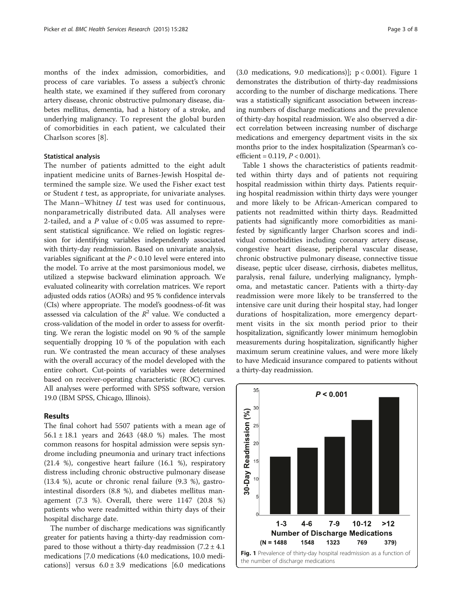months of the index admission, comorbidities, and process of care variables. To assess a subject's chronic health state, we examined if they suffered from coronary artery disease, chronic obstructive pulmonary disease, diabetes mellitus, dementia, had a history of a stroke, and underlying malignancy. To represent the global burden of comorbidities in each patient, we calculated their Charlson scores [\[8](#page-6-0)].

## Statistical analysis

The number of patients admitted to the eight adult inpatient medicine units of Barnes-Jewish Hospital determined the sample size. We used the Fisher exact test or Student  $t$  test, as appropriate, for univariate analyses. The Mann–Whitney *U* test was used for continuous, nonparametrically distributed data. All analyses were 2-tailed, and a  $P$  value of < 0.05 was assumed to represent statistical significance. We relied on logistic regression for identifying variables independently associated with thirty-day readmission. Based on univariate analysis, variables significant at the  $P < 0.10$  level were entered into the model. To arrive at the most parsimonious model, we utilized a stepwise backward elimination approach. We evaluated colinearity with correlation matrices. We report adjusted odds ratios (AORs) and 95 % confidence intervals (CIs) where appropriate. The model's goodness-of-fit was assessed via calculation of the  $R^2$  value. We conducted a cross-validation of the model in order to assess for overfitting. We reran the logistic model on 90 % of the sample sequentially dropping 10 % of the population with each run. We contrasted the mean accuracy of these analyses with the overall accuracy of the model developed with the entire cohort. Cut-points of variables were determined based on receiver-operating characteristic (ROC) curves. All analyses were performed with SPSS software, version 19.0 (IBM SPSS, Chicago, Illinois).

## Results

The final cohort had 5507 patients with a mean age of 56.1 ± 18.1 years and 2643 (48.0 %) males. The most common reasons for hospital admission were sepsis syndrome including pneumonia and urinary tract infections (21.4 %), congestive heart failure (16.1 %), respiratory distress including chronic obstructive pulmonary disease (13.4 %), acute or chronic renal failure (9.3 %), gastrointestinal disorders (8.8 %), and diabetes mellitus management (7.3 %). Overall, there were 1147 (20.8 %) patients who were readmitted within thirty days of their hospital discharge date.

The number of discharge medications was significantly greater for patients having a thirty-day readmission compared to those without a thirty-day readmission  $(7.2 \pm 4.1)$ medications [7.0 medications (4.0 medications, 10.0 medications)] versus  $6.0 \pm 3.9$  medications [6.0 medications

(3.0 medications, 9.0 medications)];  $p < 0.001$ ). Figure 1 demonstrates the distribution of thirty-day readmissions according to the number of discharge medications. There was a statistically significant association between increasing numbers of discharge medications and the prevalence of thirty-day hospital readmission. We also observed a direct correlation between increasing number of discharge medications and emergency department visits in the six months prior to the index hospitalization (Spearman's coefficient =  $0.119, P < 0.001$ ).

Table [1](#page-3-0) shows the characteristics of patients readmitted within thirty days and of patients not requiring hospital readmission within thirty days. Patients requiring hospital readmission within thirty days were younger and more likely to be African-American compared to patients not readmitted within thirty days. Readmitted patients had significantly more comorbidities as manifested by significantly larger Charlson scores and individual comorbidities including coronary artery disease, congestive heart disease, peripheral vascular disease, chronic obstructive pulmonary disease, connective tissue disease, peptic ulcer disease, cirrhosis, diabetes mellitus, paralysis, renal failure, underlying malignancy, lymphoma, and metastatic cancer. Patients with a thirty-day readmission were more likely to be transferred to the intensive care unit during their hospital stay, had longer durations of hospitalization, more emergency department visits in the six month period prior to their hospitalization, significantly lower minimum hemoglobin measurements during hospitalization, significantly higher maximum serum creatinine values, and were more likely to have Medicaid insurance compared to patients without a thirty-day readmission.

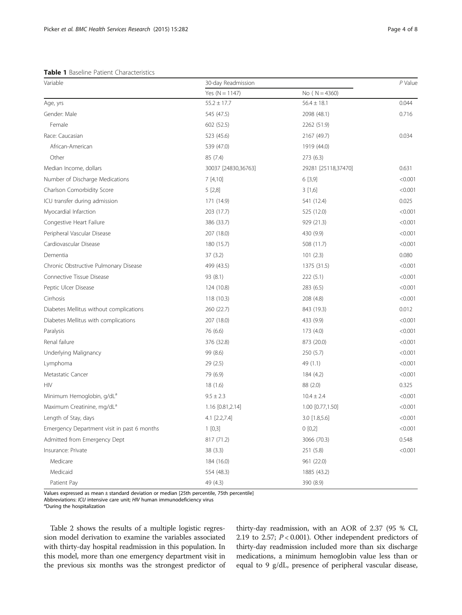<span id="page-3-0"></span>Table 1 Baseline Patient Characteristics

| Variable                                    | 30-day Readmission  | $P$ Value           |         |
|---------------------------------------------|---------------------|---------------------|---------|
|                                             | Yes ( $N = 1147$ )  | No ( $N = 4360$ )   |         |
| Age, yrs                                    | $55.2 \pm 17.7$     | $56.4 \pm 18.1$     | 0.044   |
| Gender: Male                                | 545 (47.5)          | 2098 (48.1)         | 0.716   |
| Female                                      | 602 (52.5)          | 2262 (51.9)         |         |
| Race: Caucasian                             | 523 (45.6)          | 2167 (49.7)         | 0.034   |
| African-American                            | 539 (47.0)          | 1919 (44.0)         |         |
| Other                                       | 85 (7.4)            | 273 (6.3)           |         |
| Median Income, dollars                      | 30037 [24830,36763] | 29281 [25118,37470] | 0.631   |
| Number of Discharge Medications             | 7[4,10]             | 6 [3,9]             | < 0.001 |
| Charlson Comorbidity Score                  | 5[2,8]              | 3[1,6]              | < 0.001 |
| ICU transfer during admission               | 171 (14.9)          | 541 (12.4)          | 0.025   |
| Myocardial Infarction                       | 203 (17.7)          | 525 (12.0)          | < 0.001 |
| Congestive Heart Failure                    | 386 (33.7)          | 929 (21.3)          | < 0.001 |
| Peripheral Vascular Disease                 | 207 (18.0)          | 430 (9.9)           | < 0.001 |
| Cardiovascular Disease                      | 180 (15.7)          | 508 (11.7)          | < 0.001 |
| Dementia                                    | 37(3.2)             | 101(2.3)            | 0.080   |
| Chronic Obstructive Pulmonary Disease       | 499 (43.5)          | 1375 (31.5)         | < 0.001 |
| Connective Tissue Disease                   | 93 (8.1)            | 222(5.1)            | < 0.001 |
| Peptic Ulcer Disease                        | 124 (10.8)          | 283 (6.5)           | < 0.001 |
| Cirrhosis                                   | 118 (10.3)          | 208 (4.8)           | < 0.001 |
| Diabetes Mellitus without complications     | 260 (22.7)          | 843 (19.3)          | 0.012   |
| Diabetes Mellitus with complications        | 207 (18.0)          | 433 (9.9)           | < 0.001 |
| Paralysis                                   | 76 (6.6)            | 173 (4.0)           | < 0.001 |
| Renal failure                               | 376 (32.8)          | 873 (20.0)          | < 0.001 |
| Underlying Malignancy                       | 99 (8.6)            | 250 (5.7)           | < 0.001 |
| Lymphoma                                    | 29 (2.5)            | 49 (1.1)            | < 0.001 |
| Metastatic Cancer                           | 79 (6.9)            | 184 (4.2)           | < 0.001 |
| <b>HIV</b>                                  | 18 (1.6)            | 88 (2.0)            | 0.325   |
| Minimum Hemoglobin, g/dL <sup>a</sup>       | $9.5 \pm 2.3$       | $10.4 \pm 2.4$      | < 0.001 |
| Maximum Creatinine, mg/dL <sup>a</sup>      | 1.16 [0.81,2.14]    | 1.00 [0.77,1.50]    | < 0.001 |
| Length of Stay, days                        | 4.1 [2.2,7.4]       | 3.0 [1.8,5.6]       | < 0.001 |
| Emergency Department visit in past 6 months | 1[0,3]              | 0 [0,2]             | < 0.001 |
| Admitted from Emergency Dept                | 817 (71.2)          | 3066 (70.3)         | 0.548   |
| Insurance: Private                          | 38(3.3)             | 251 (5.8)           | < 0.001 |
| Medicare                                    | 184 (16.0)          | 961 (22.0)          |         |
| Medicaid                                    | 554 (48.3)          | 1885 (43.2)         |         |
| Patient Pay                                 | 49 (4.3)            | 390 (8.9)           |         |

Values expressed as mean ± standard deviation or median [25th percentile, 75th percentile]

Abbreviations: ICU intensive care unit; HIV human immunodeficiency virus

During the hospitalization

Table [2](#page-4-0) shows the results of a multiple logistic regression model derivation to examine the variables associated with thirty-day hospital readmission in this population. In this model, more than one emergency department visit in the previous six months was the strongest predictor of thirty-day readmission, with an AOR of 2.37 (95 % CI, 2.19 to 2.57;  $P < 0.001$ ). Other independent predictors of thirty-day readmission included more than six discharge medications, a minimum hemoglobin value less than or equal to 9 g/dL, presence of peripheral vascular disease,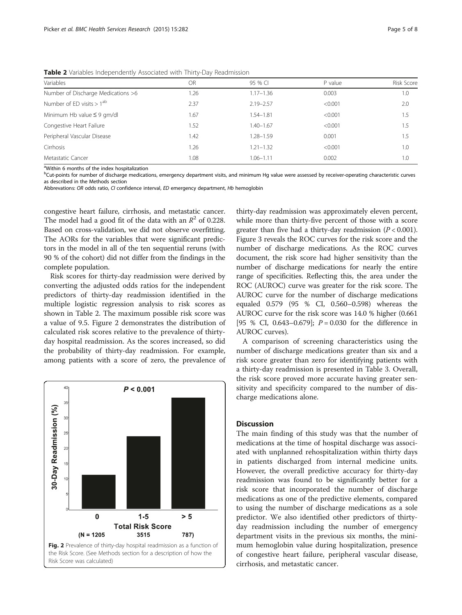<span id="page-4-0"></span>**Table 2** Variables Independently Associated with Thirty-Day Readmission

| Variables                          | OR.  | 95 % CI       | P value | <b>Risk Score</b> |  |  |  |  |
|------------------------------------|------|---------------|---------|-------------------|--|--|--|--|
| Number of Discharge Medications >6 | 1.26 | $1.17 - 1.36$ | 0.003   | 1.0               |  |  |  |  |
| Number of ED visits $> 1ab$        | 2.37 | $2.19 - 2.57$ | < 0.001 | 2.0               |  |  |  |  |
| Minimum Hb value $\leq$ 9 gm/dl    | 1.67 | 1.54-1.81     | < 0.001 | 1.5               |  |  |  |  |
| Congestive Heart Failure           | 1.52 | $1.40 - 1.67$ | < 0.001 | 1.5               |  |  |  |  |
| Peripheral Vascular Disease        | 1.42 | $1.28 - 1.59$ | 0.001   | 1.5               |  |  |  |  |
| Cirrhosis                          | 1.26 | $1.21 - 1.32$ | < 0.001 | 1.0               |  |  |  |  |
| Metastatic Cancer                  | 1.08 | $1.06 - 1.11$ | 0.002   | 1.0               |  |  |  |  |
|                                    |      |               |         |                   |  |  |  |  |

<sup>a</sup>Within 6 months of the index hospitalization

<sup>b</sup>Cut-points for number of discharge medications, emergency department visits, and minimum Hg value were assessed by receiver-operating characteristic curves as described in the Methods section

Abbrevations: OR odds ratio, CI confidence interval, ED emergency department, Hb hemoglobin

congestive heart failure, cirrhosis, and metastatic cancer. The model had a good fit of the data with an  $R^2$  of 0.228. Based on cross-validation, we did not observe overfitting. The AORs for the variables that were significant predictors in the model in all of the ten sequential reruns (with 90 % of the cohort) did not differ from the findings in the complete population.

Risk scores for thirty-day readmission were derived by converting the adjusted odds ratios for the independent predictors of thirty-day readmission identified in the multiple logistic regression analysis to risk scores as shown in Table 2. The maximum possible risk score was a value of 9.5. Figure 2 demonstrates the distribution of calculated risk scores relative to the prevalence of thirtyday hospital readmission. As the scores increased, so did the probability of thirty-day readmission. For example, among patients with a score of zero, the prevalence of



thirty-day readmission was approximately eleven percent, while more than thirty-five percent of those with a score greater than five had a thirty-day readmission  $(P < 0.001)$ . Figure [3](#page-5-0) reveals the ROC curves for the risk score and the number of discharge medications. As the ROC curves document, the risk score had higher sensitivity than the number of discharge medications for nearly the entire range of specificities. Reflecting this, the area under the ROC (AUROC) curve was greater for the risk score. The AUROC curve for the number of discharge medications equaled 0.579 (95 % CI, 0.560–0.598) whereas the AUROC curve for the risk score was 14.0 % higher (0.661 [95 % CI, 0.643–0.679];  $P = 0.030$  for the difference in AUROC curves).

A comparison of screening characteristics using the number of discharge medications greater than six and a risk score greater than zero for identifying patients with a thirty-day readmission is presented in Table [3](#page-5-0). Overall, the risk score proved more accurate having greater sensitivity and specificity compared to the number of discharge medications alone.

### **Discussion**

The main finding of this study was that the number of medications at the time of hospital discharge was associated with unplanned rehospitalization within thirty days in patients discharged from internal medicine units. However, the overall predictive accuracy for thirty-day readmission was found to be significantly better for a risk score that incorporated the number of discharge medications as one of the predictive elements, compared to using the number of discharge medications as a sole predictor. We also identified other predictors of thirtyday readmission including the number of emergency department visits in the previous six months, the minimum hemoglobin value during hospitalization, presence of congestive heart failure, peripheral vascular disease, cirrhosis, and metastatic cancer.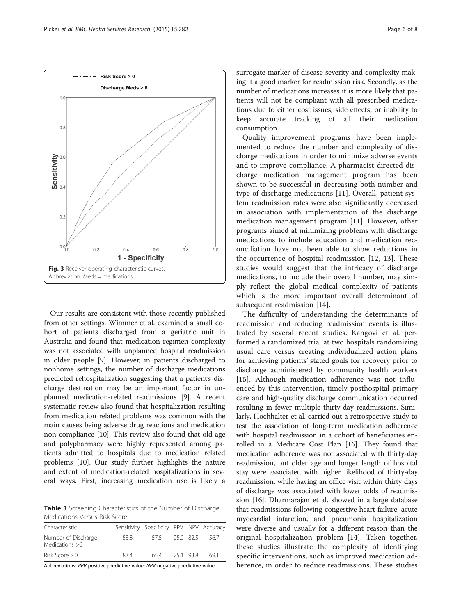Our results are consistent with those recently published from other settings. Wimmer et al. examined a small cohort of patients discharged from a geriatric unit in Australia and found that medication regimen complexity was not associated with unplanned hospital readmission in older people [[9\]](#page-6-0). However, in patients discharged to nonhome settings, the number of discharge medications predicted rehospitalization suggesting that a patient's discharge destination may be an important factor in unplanned medication-related readmissions [[9](#page-6-0)]. A recent systematic review also found that hospitalization resulting from medication related problems was common with the main causes being adverse drug reactions and medication non-compliance [\[10\]](#page-6-0). This review also found that old age and polypharmacy were highly represented among patients admitted to hospitals due to medication related problems [\[10\]](#page-6-0). Our study further highlights the nature and extent of medication-related hospitalizations in several ways. First, increasing medication use is likely a

Table 3 Screening Characteristics of the Number of Discharge Medications Versus Risk Score

| Characteristic                        |      | Sensitivity Specificity PPV NPV Accuracy |        |           |      |
|---------------------------------------|------|------------------------------------------|--------|-----------|------|
| Number of Discharge<br>Medications >6 | 53.8 | 575                                      |        | 25.0 82.5 | 56.7 |
| Risk Score $> 0$                      | 834  | 654                                      | 251938 |           | 69 1 |

Abbreviations: PPV positive predictive value; NPV negative predictive value

surrogate marker of disease severity and complexity mak-

Quality improvement programs have been implemented to reduce the number and complexity of discharge medications in order to minimize adverse events and to improve compliance. A pharmacist-directed discharge medication management program has been shown to be successful in decreasing both number and type of discharge medications [[11\]](#page-6-0). Overall, patient system readmission rates were also significantly decreased in association with implementation of the discharge medication management program [[11\]](#page-6-0). However, other programs aimed at minimizing problems with discharge medications to include education and medication reconciliation have not been able to show reductions in the occurrence of hospital readmission [\[12](#page-6-0), [13](#page-6-0)]. These studies would suggest that the intricacy of discharge medications, to include their overall number, may simply reflect the global medical complexity of patients which is the more important overall determinant of subsequent readmission [[14\]](#page-6-0).

The difficulty of understanding the determinants of readmission and reducing readmission events is illustrated by several recent studies. Kangovi et al. performed a randomized trial at two hospitals randomizing usual care versus creating individualized action plans for achieving patients' stated goals for recovery prior to discharge administered by community health workers [[15](#page-7-0)]. Although medication adherence was not influenced by this intervention, timely posthospital primary care and high-quality discharge communication occurred resulting in fewer multiple thirty-day readmissions. Similarly, Hochhalter et al. carried out a retrospective study to test the association of long-term medication adherence with hospital readmission in a cohort of beneficiaries enrolled in a Medicare Cost Plan [\[16\]](#page-7-0). They found that medication adherence was not associated with thirty-day readmission, but older age and longer length of hospital stay were associated with higher likelihood of thirty-day readmission, while having an office visit within thirty days of discharge was associated with lower odds of readmission [\[16\]](#page-7-0). Dharmarajan et al. showed in a large database that readmissions following congestive heart failure, acute myocardial infarction, and pneumonia hospitalization were diverse and usually for a different reason than the original hospitalization problem [\[14](#page-6-0)]. Taken together, these studies illustrate the complexity of identifying specific interventions, such as improved medication adherence, in order to reduce readmissions. These studies

ing it a good marker for readmission risk. Secondly, as the number of medications increases it is more likely that patients will not be compliant with all prescribed medications due to either cost issues, side effects, or inability to keep accurate tracking of all their medication consumption.

<span id="page-5-0"></span>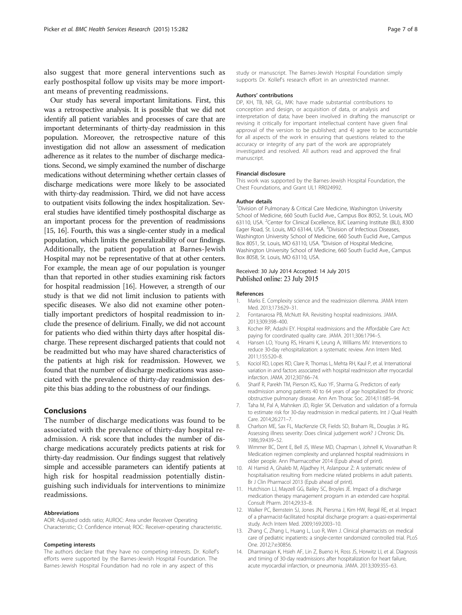<span id="page-6-0"></span>also suggest that more general interventions such as early posthospital follow up visits may be more important means of preventing readmissions.

Our study has several important limitations. First, this was a retrospective analysis. It is possible that we did not identify all patient variables and processes of care that are important determinants of thirty-day readmission in this population. Moreover, the retrospective nature of this investigation did not allow an assessment of medication adherence as it relates to the number of discharge medications. Second, we simply examined the number of discharge medications without determining whether certain classes of discharge medications were more likely to be associated with thirty-day readmission. Third, we did not have access to outpatient visits following the index hospitalization. Several studies have identified timely posthospital discharge as an important process for the prevention of readmissions [[15](#page-7-0), [16\]](#page-7-0). Fourth, this was a single-center study in a medical population, which limits the generalizability of our findings. Additionally, the patient population at Barnes-Jewish Hospital may not be representative of that at other centers. For example, the mean age of our population is younger than that reported in other studies examining risk factors for hospital readmission [\[16](#page-7-0)]. However, a strength of our study is that we did not limit inclusion to patients with specific diseases. We also did not examine other potentially important predictors of hospital readmission to include the presence of delirium. Finally, we did not account for patients who died within thirty days after hospital discharge. These represent discharged patients that could not be readmitted but who may have shared characteristics of the patients at high risk for readmission. However, we found that the number of discharge medications was associated with the prevalence of thirty-day readmission despite this bias adding to the robustness of our findings.

## Conclusions

The number of discharge medications was found to be associated with the prevalence of thirty-day hospital readmission. A risk score that includes the number of discharge medications accurately predicts patients at risk for thirty-day readmission. Our findings suggest that relatively simple and accessible parameters can identify patients at high risk for hospital readmission potentially distinguishing such individuals for interventions to minimize readmissions.

#### Abbreviations

AOR: Adjusted odds ratio; AUROC: Area under Receiver Operating Characteristic; CI: Confidence interval; ROC: Receiver-operating characteristic.

#### Competing interests

The authors declare that they have no competing interests. Dr. Kollef's efforts were supported by the Barnes-Jewish Hospital Foundation. The Barnes-Jewish Hospital Foundation had no role in any aspect of this

study or manuscript. The Barnes-Jewish Hospital Foundation simply supports Dr. Kollef's research effort in an unrestricted manner.

#### Authors' contributions

DP, KH, TB, NR, GL, MK: have made substantial contributions to conception and design, or acquisition of data, or analysis and interpretation of data; have been involved in drafting the manuscript or revising it critically for important intellectual content have given final approval of the version to be published; and 4) agree to be accountable for all aspects of the work in ensuring that questions related to the accuracy or integrity of any part of the work are appropriately investigated and resolved. All authors read and approved the final manuscript.

#### Financial disclosure

This work was supported by the Barnes-Jewish Hospital Foundation, the Chest Foundations, and Grant UL1 RR024992.

#### Author details

<sup>1</sup> Division of Pulmonary & Critical Care Medicine, Washington University School of Medicine, 660 South Euclid Ave., Campus Box 8052, St. Louis, MO 63110, USA. <sup>2</sup>Center for Clinical Excellence, BJC Learning Institute (BLI), 8300 Eager Road, St. Louis, MO 63144, USA. <sup>3</sup>Division of Infectious Diseases, Washington University School of Medicine, 660 South Euclid Ave., Campus Box 8051, St. Louis, MO 63110, USA. <sup>4</sup>Division of Hospital Medicine, Washington University School of Medicine, 660 South Euclid Ave., Campus Box 8058, St. Louis, MO 63110, USA.

#### Received: 30 July 2014 Accepted: 14 July 2015 Published online: 23 July 2015

#### References

- 1. Marks E. Complexity science and the readmission dilemma. JAMA Intern Med. 2013;173:629–31.
- 2. Fontanarosa PB, McNutt RA. Revisiting hospital readmissions. JAMA. 2013;309:398–400.
- 3. Kocher RP, Adashi EY. Hospital readmissions and the Affordable Care Act: paying for coordinated quality care. JAMA. 2011;306:1794–5.
- 4. Hansen LO, Young RS, Hinami K, Leung A, Williams MV. Interventions to reduce 30-day rehospitalization: a systematic review. Ann Intern Med. 2011;155:520–8.
- 5. Kociol RD, Lopes RD, Clare R, Thomas L, Mehta RH, Kaul P, et al. International variation in and factors associated with hospital readmission after myocardial infarction. JAMA. 2012;307:66–74.
- 6. Sharif R, Parekh TM, Pierson KS, Kuo YF, Sharma G. Predictors of early readmission among patients 40 to 64 years of age hospitalized for chronic obstructive pulmonary disease. Ann Am Thorac Soc. 2014;11:685–94.
- 7. Taha M, Pal A, Mahnken JD, Rigler SK. Derivation and validation of a formula to estimate risk for 30-day readmission in medical patients. Int J Qual Health Care. 2014;26:271–7.
- 8. Charlson ME, Sax FL, MacKenzie CR, Fields SD, Braham RL, Douglas Jr RG. Assessing illness severity: Does clinical judgement work? J Chronic Dis. 1986;39:439–52.
- 9. Wimmer BC, Dent E, Bell JS, Wiese MD, Chapman I, Johnell K, Visvanathan R: Medication regimen complexity and unplanned hospital readmissions in older people. Ann Pharmacother 2014 (Epub ahead of print).
- 10. Al Hamid A, Ghaleb M, Aljadhey H, Aslanpour Z: A systematic review of hospitalisation resulting from medicine related problems in adult patients. Br J Clin Pharmacol 2013 (Epub ahead of print).
- 11. Hutchison LJ, Mayzell GG, Bailey SC, Broyles JE. Impact of a discharge medication therapy management program in an extended care hospital. Consult Pharm. 2014;29:33–8.
- 12. Walker PC, Bernstein SJ, Jones JN, Piersma J, Kim HW, Regal RE, et al. Impact of a pharmacist-facilitated hospital discharge program: a quasi-experimental study. Arch Intern Med. 2009;169:2003–10.
- 13. Zhang C, Zhang L, Huang L, Luo R, Wen J. Clinical pharmacists on medical care of pediatric inpatients: a single-center randomized controlled trial. PLoS One. 2012;7:e30856.
- 14. Dharmarajan K, Hsieh AF, Lin Z, Bueno H, Ross JS, Horwitz LI, et al. Diagnosis and timing of 30-day readmissions after hospitalization for heart failure, acute myocardial infarction, or pneumonia. JAMA. 2013;309:355–63.